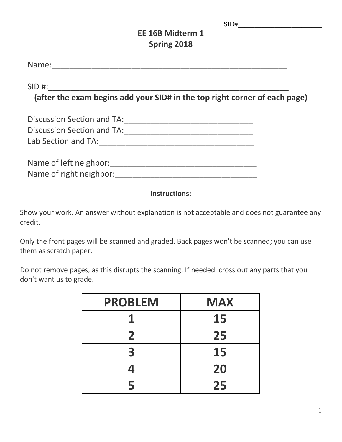# **EE 16B Midterm 1 Spring 2018**

Name:\_\_\_\_\_\_\_\_\_\_\_\_\_\_\_\_\_\_\_\_\_\_\_\_\_\_\_\_\_\_\_\_\_\_\_\_\_\_\_\_\_\_\_\_\_\_\_\_\_\_\_\_\_

 $SID \#:$ 

**(after the exam begins add your SID# in the top right corner of each page)**

| Discussion Section and TA: |  |
|----------------------------|--|
| Discussion Section and TA: |  |
| Lab Section and TA:        |  |
|                            |  |

| Name of left neighbor:  |  |
|-------------------------|--|
| Name of right neighbor: |  |

# **Instructions:**

Show your work. An answer without explanation is not acceptable and does not guarantee any credit.

Only the front pages will be scanned and graded. Back pages won't be scanned; you can use them as scratch paper.

Do not remove pages, as this disrupts the scanning. If needed, cross out any parts that you don't want us to grade.

| <b>PROBLEM</b> | <b>MAX</b> |
|----------------|------------|
|                | 15         |
| $\mathbf{2}$   | 25         |
| 3              | 15         |
| 4              | 20         |
| 5              | 25         |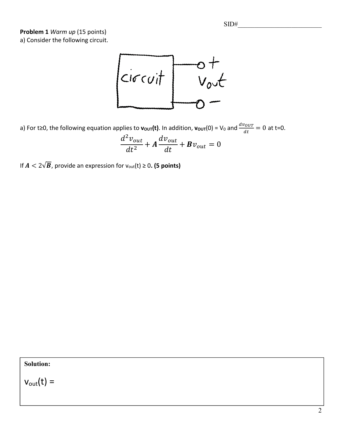**Problem 1** *Warm up* (15 points) a) Consider the following circuit.



a) For t≥0, the following equation applies to  $v_{\text{OUT}}(t)$ . In addition,  $v_{\text{OUT}}(0)$  = V<sub>0</sub> and  $\frac{dv_{OUT}}{dt} = 0$  at t=0.

$$
\frac{d^2v_{out}}{dt^2} + A\frac{dv_{out}}{dt} + Bv_{out} = 0
$$

If  $A < 2\sqrt{B}$ , provide an expression for  $v_{\text{out}}(t) \ge 0$ . (5 points)

**Solution:**

 $v_{\text{out}}(t) =$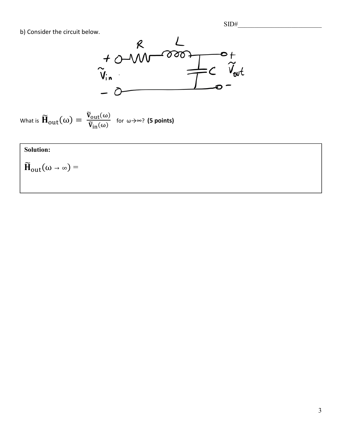

What is 
$$
\widetilde{\mathbf{H}}_{out}(\omega) = \frac{\widetilde{v}_{out}(\omega)}{\widetilde{v}_{in}(\omega)}
$$
 for  $\omega \rightarrow \infty$ ? (5 points)

# **Solution:**

 $\widetilde{\mathbf{H}}_{out}(\omega\rightarrow\infty) =$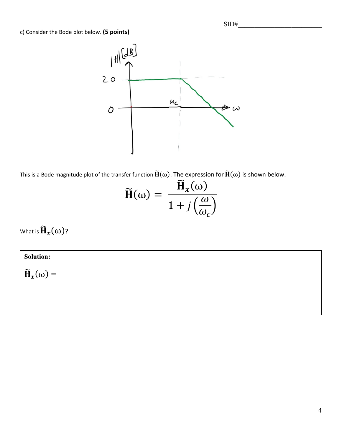c) Consider the Bode plot below. **(5 points)**



This is a Bode magnitude plot of the transfer function  $\tilde{H}(\omega)$ . The expression for  $\tilde{H}(\omega)$  is shown below.

$$
\widetilde{\mathbf{H}}(\omega) = \frac{\widetilde{\mathbf{H}}_x(\omega)}{1 + j\left(\frac{\omega}{\omega_c}\right)}
$$

What is  $\widetilde{\mathbf{H}}_{\chi}(\omega)$ ?

# **Solution:**

 $\widetilde{\mathbf{H}}_x(\omega) =$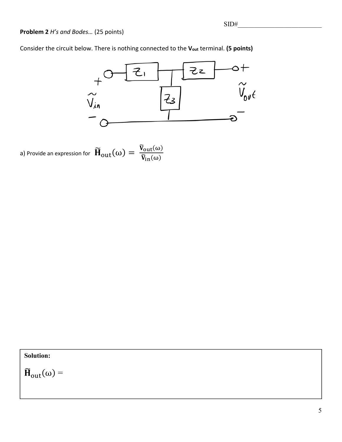## **Problem 2** *H's and Bodes…* (25 points)

Consider the circuit below. There is nothing connected to the **Vout** terminal. **(5 points)**



a) Provide an expression for  $\bf{\widetilde{H}}_{out}(\omega) = \frac{\widetilde{V}_{out}(\omega)}{\widetilde{V}_{in}(\omega)}$ 

### **Solution:**

 $\widetilde{\mathbf{H}}_{out}(\omega) =$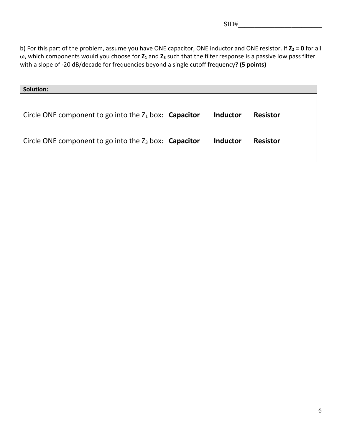b) For this part of the problem, assume you have ONE capacitor, ONE inductor and ONE resistor. If **Z<sub>2</sub> = 0** for all ω, which components would you choose for **Z1** and **Z3** such that the filter response is a passive low pass filter with a slope of -20 dB/decade for frequencies beyond a single cutoff frequency? **(5 points)**

| <b>Solution:</b>                                                |                 |                 |
|-----------------------------------------------------------------|-----------------|-----------------|
| Circle ONE component to go into the $Z_1$ box: <b>Capacitor</b> | <b>Inductor</b> | <b>Resistor</b> |
| Circle ONE component to go into the $Z_3$ box: <b>Capacitor</b> | <b>Inductor</b> | <b>Resistor</b> |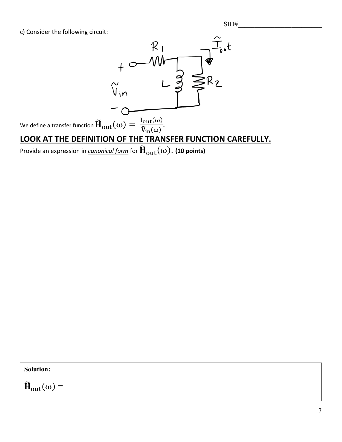c) Consider the following circuit:



Provide an expression in *canonical form* for  $\widetilde{\mathbf{H}}_{out}(\omega)$ . (10 points)

**Solution:**

 $\widetilde{\mathbf{H}}_{out}(\omega) =$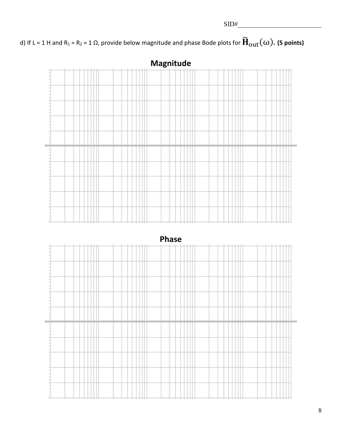d) If L = 1 H and R<sub>1</sub> = R<sub>2</sub> = 1  $\Omega$ , provide below magnitude and phase Bode plots for  $\widetilde{H}_{out}(\omega)$ . (5 points)





**Phase**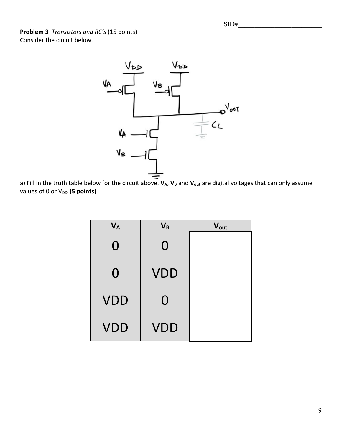**Problem 3** *Transistors and RC's* (15 points) Consider the circuit below.



a) Fill in the truth table below for the circuit above. **VA**, **V<sub>B</sub>** and **V**<sub>out</sub> are digital voltages that can only assume values of 0 or V<sub>DD</sub>. (5 points)

| $V_A$      | $V_B$      | Vout |
|------------|------------|------|
| $\Omega$   | 0          |      |
| 0          | <b>VDD</b> |      |
| <b>VDD</b> | $\Omega$   |      |
| <b>VDD</b> | <b>VDD</b> |      |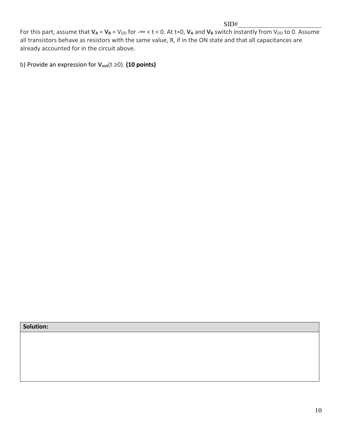For this part, assume that  $V_A = V_B = V_{DD}$  for - $\infty < t < 0$ . At t=0,  $V_A$  and  $V_B$  switch instantly from  $V_{DD}$  to 0. Assume all transistors behave as resistors with the same value, R, if in the ON state and that all capacitances are already accounted for in the circuit above.

b) Provide an expression for **Vout**(t ≥0). **(10 points)**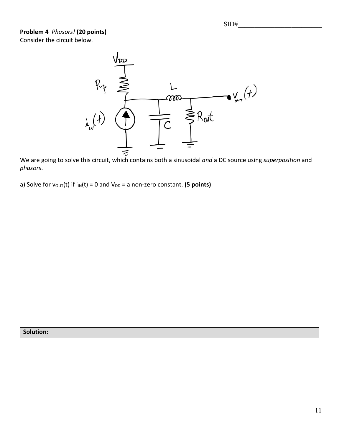SID#\_\_\_\_\_\_\_\_\_\_\_\_\_\_\_\_\_\_\_\_\_\_\_\_\_

## **Problem 4** *Phasors!* **(20 points)** Consider the circuit below.



We are going to solve this circuit, which contains both a sinusoidal *and* a DC source using *superposition* and *phasors*.

a) Solve for  $v_{\text{OUT}}(t)$  if  $i_{\text{IN}}(t) = 0$  and  $V_{\text{DD}} = a$  non-zero constant. **(5 points)**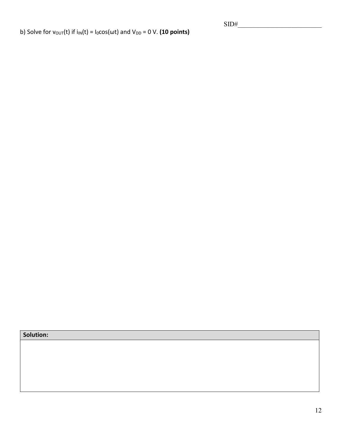b) Solve for  $v_{\text{OUT}}(t)$  if  $i_{\text{IN}}(t) = i_{0}cos(\omega t)$  and  $V_{\text{DD}} = 0$  V. (10 points)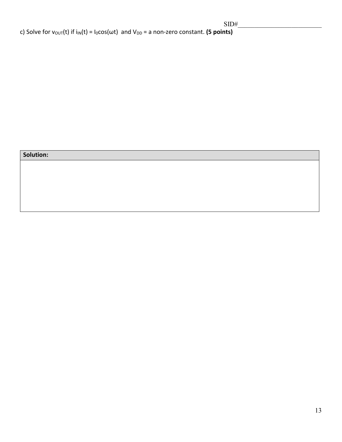$\mathcal{S}$  , and the side of  $\mathcal{S}$ 

c) Solve for v<sub>OUT</sub>(t) if  $i_{IN}(t) = I_0 cos(\omega t)$  and V<sub>DD</sub> = a non-zero constant. **(5 points)** 

|  | Solution: |
|--|-----------|
|  |           |
|  |           |
|  |           |
|  |           |
|  |           |
|  |           |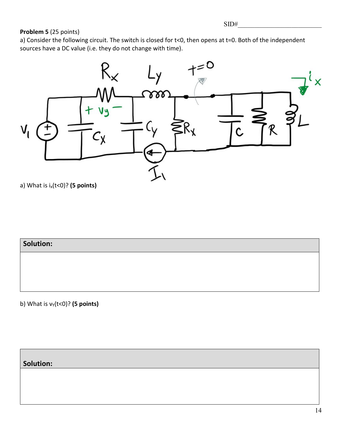### **Problem 5** (25 points)

a) Consider the following circuit. The switch is closed for t<0, then opens at t=0. Both of the independent sources have a DC value (i.e. they do not change with time).



a) What is ix(t<0)? **(5 points)**

**Solution:**

b) What is  $v_Y(t<0)$ ? (5 points)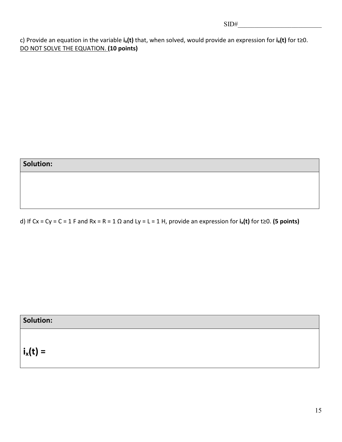c) Provide an equation in the variable **ix(t)** that, when solved, would provide an expression for **ix(t)** for t≥0. DO NOT SOLVE THE EQUATION. **(10 points)**

| <b>Solution:</b> |  |  |
|------------------|--|--|
|                  |  |  |

d) If Cx = Cy = C = 1 F and Rx = R = 1 Ω and Ly = L = 1 H, provide an expression for **ix(t)** for t≥0. **(5 points)**

# **Solution:**

 $i_x(t) =$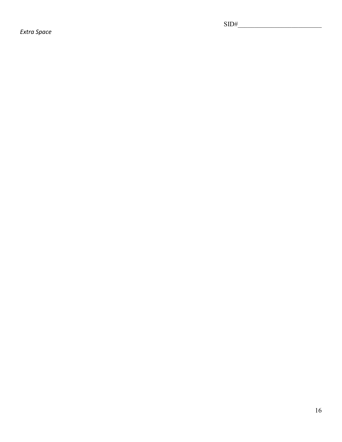*Extra Space*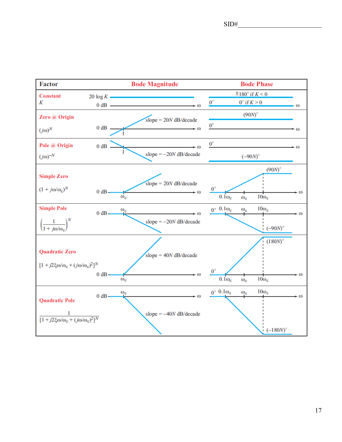